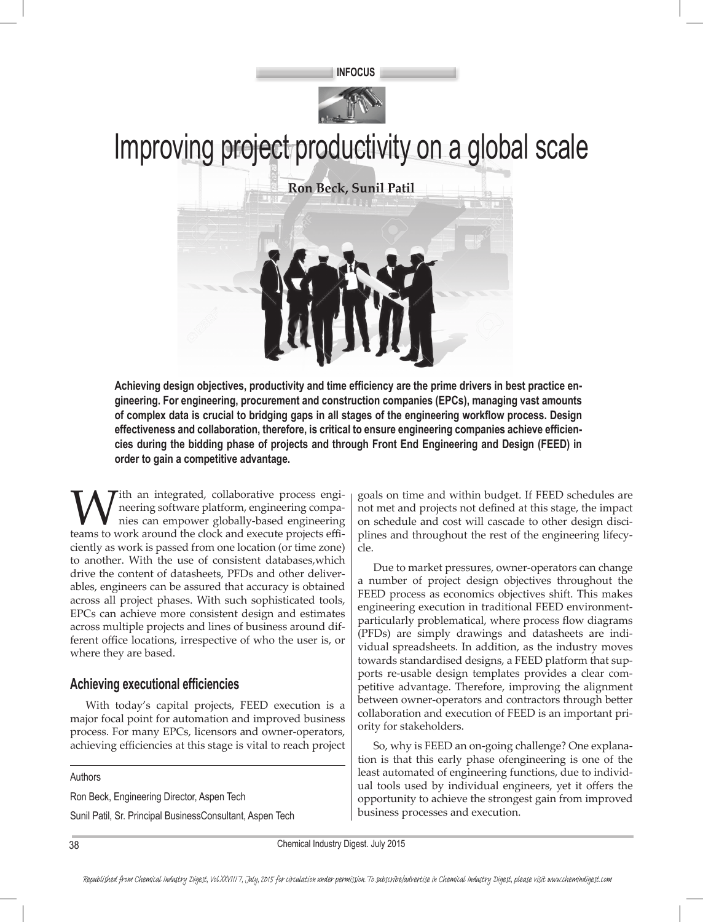



# Improving project productivity on a global scale

**Ron Beck, Sunil Patil**



**Achieving design objectives, productivity and time efficiency are the prime drivers in best practice engineering. For engineering, procurement and construction companies (EPCs), managing vast amounts of complex data is crucial to bridging gaps in all stages of the engineering workflow process. Design effectiveness and collaboration, therefore, is critical to ensure engineering companies achieve efficiencies during the bidding phase of projects and through Front End Engineering and Design (FEED) in order to gain a competitive advantage.**

With an integrated, collaborative process engi-<br>neering software platform, engineering compa-<br>nies can empower globally-based engineering<br>teams to work around the clock and execute projects effineering software platform, engineering companies can empower globally-based engineering teams to work around the clock and execute projects efficiently as work is passed from one location (or time zone) to another. With the use of consistent databases,which drive the content of datasheets, PFDs and other deliverables, engineers can be assured that accuracy is obtained across all project phases. With such sophisticated tools, EPCs can achieve more consistent design and estimates across multiple projects and lines of business around different office locations, irrespective of who the user is, or where they are based.

## **Achieving executional efficiencies**

With today's capital projects, FEED execution is a major focal point for automation and improved business process. For many EPCs, licensors and owner-operators, achieving efficiencies at this stage is vital to reach project

Authors

Ron Beck, Engineering Director, Aspen Tech

Sunil Patil, Sr. Principal BusinessConsultant, Aspen Tech

goals on time and within budget. If FEED schedules are not met and projects not defined at this stage, the impact on schedule and cost will cascade to other design disciplines and throughout the rest of the engineering lifecycle.

Due to market pressures, owner-operators can change a number of project design objectives throughout the FEED process as economics objectives shift. This makes engineering execution in traditional FEED environmentparticularly problematical, where process flow diagrams (PFDs) are simply drawings and datasheets are individual spreadsheets. In addition, as the industry moves towards standardised designs, a FEED platform that supports re-usable design templates provides a clear competitive advantage. Therefore, improving the alignment between owner-operators and contractors through better collaboration and execution of FEED is an important priority for stakeholders.

So, why is FEED an on-going challenge? One explanation is that this early phase ofengineering is one of the least automated of engineering functions, due to individual tools used by individual engineers, yet it offers the opportunity to achieve the strongest gain from improved business processes and execution.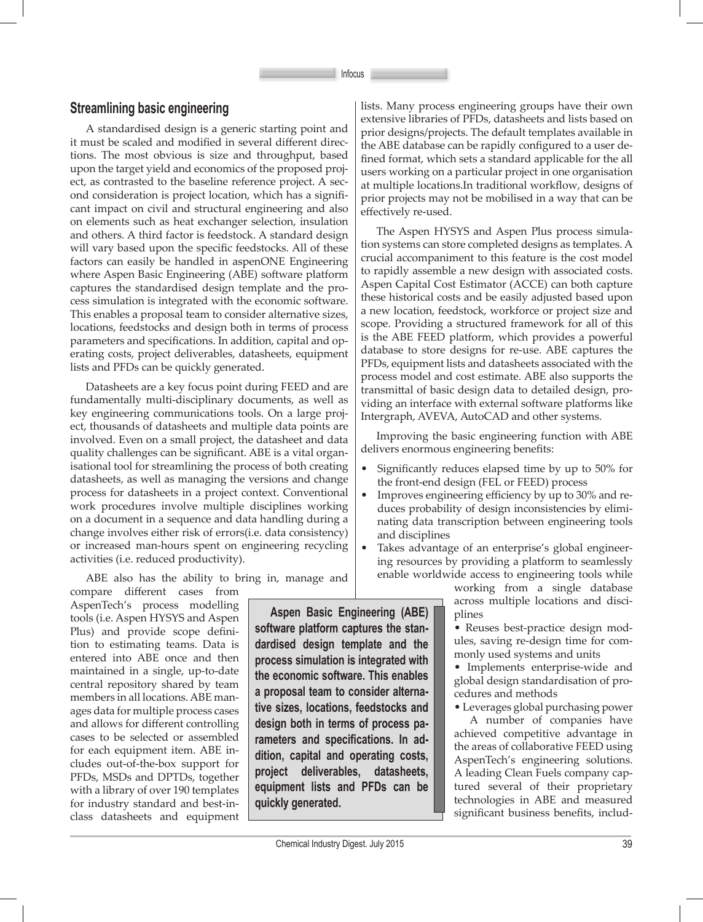### **Streamlining basic engineering**

A standardised design is a generic starting point and it must be scaled and modified in several different directions. The most obvious is size and throughput, based upon the target yield and economics of the proposed project, as contrasted to the baseline reference project. A second consideration is project location, which has a significant impact on civil and structural engineering and also on elements such as heat exchanger selection, insulation and others. A third factor is feedstock. A standard design will vary based upon the specific feedstocks. All of these factors can easily be handled in aspenONE Engineering where Aspen Basic Engineering (ABE) software platform captures the standardised design template and the process simulation is integrated with the economic software. This enables a proposal team to consider alternative sizes, locations, feedstocks and design both in terms of process parameters and specifications. In addition, capital and operating costs, project deliverables, datasheets, equipment lists and PFDs can be quickly generated.

Datasheets are a key focus point during FEED and are fundamentally multi-disciplinary documents, as well as key engineering communications tools. On a large project, thousands of datasheets and multiple data points are involved. Even on a small project, the datasheet and data quality challenges can be significant. ABE is a vital organisational tool for streamlining the process of both creating datasheets, as well as managing the versions and change process for datasheets in a project context. Conventional work procedures involve multiple disciplines working on a document in a sequence and data handling during a change involves either risk of errors(i.e. data consistency) or increased man-hours spent on engineering recycling activities (i.e. reduced productivity).

ABE also has the ability to bring in, manage and

compare different cases from AspenTech's process modelling tools (i.e. Aspen HYSYS and Aspen Plus) and provide scope definition to estimating teams. Data is entered into ABE once and then maintained in a single, up-to-date central repository shared by team members in all locations. ABE manages data for multiple process cases and allows for different controlling cases to be selected or assembled for each equipment item. ABE includes out-of-the-box support for PFDs, MSDs and DPTDs, together with a library of over 190 templates for industry standard and best-inclass datasheets and equipment

**Aspen Basic Engineering (ABE) software platform captures the standardised design template and the process simulation is integrated with the economic software. This enables a proposal team to consider alternative sizes, locations, feedstocks and design both in terms of process parameters and specifications. In addition, capital and operating costs, project deliverables, datasheets, equipment lists and PFDs can be quickly generated.**

lists. Many process engineering groups have their own extensive libraries of PFDs, datasheets and lists based on prior designs/projects. The default templates available in the ABE database can be rapidly configured to a user defined format, which sets a standard applicable for the all users working on a particular project in one organisation at multiple locations.In traditional workflow, designs of prior projects may not be mobilised in a way that can be effectively re-used.

The Aspen HYSYS and Aspen Plus process simulation systems can store completed designs as templates. A crucial accompaniment to this feature is the cost model to rapidly assemble a new design with associated costs. Aspen Capital Cost Estimator (ACCE) can both capture these historical costs and be easily adjusted based upon a new location, feedstock, workforce or project size and scope. Providing a structured framework for all of this is the ABE FEED platform, which provides a powerful database to store designs for re-use. ABE captures the PFDs, equipment lists and datasheets associated with the process model and cost estimate. ABE also supports the transmittal of basic design data to detailed design, providing an interface with external software platforms like Intergraph, AVEVA, AutoCAD and other systems.

Improving the basic engineering function with ABE delivers enormous engineering benefits:

- Significantly reduces elapsed time by up to 50% for the front-end design (FEL or FEED) process
- Improves engineering efficiency by up to 30% and reduces probability of design inconsistencies by eliminating data transcription between engineering tools and disciplines
- Takes advantage of an enterprise's global engineering resources by providing a platform to seamlessly enable worldwide access to engineering tools while

working from a single database across multiple locations and disciplines

• Reuses best-practice design modules, saving re-design time for commonly used systems and units

• Implements enterprise-wide and global design standardisation of procedures and methods

• Leverages global purchasing power

A number of companies have achieved competitive advantage in the areas of collaborative FEED using AspenTech's engineering solutions. A leading Clean Fuels company captured several of their proprietary technologies in ABE and measured significant business benefits, includ-